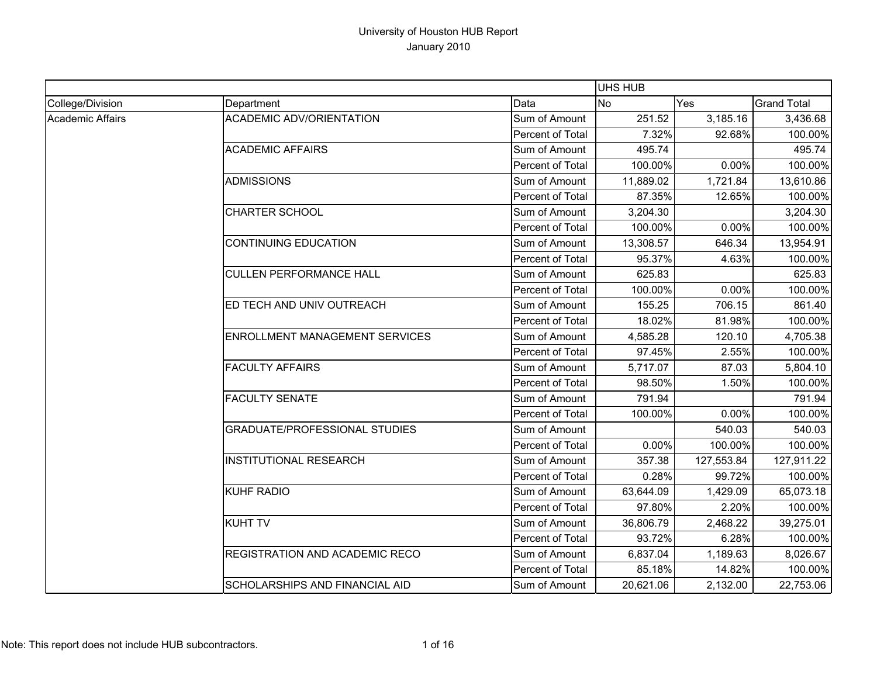|                  |                                      |                  | UHS HUB   |            |                    |
|------------------|--------------------------------------|------------------|-----------|------------|--------------------|
| College/Division | Department                           | Data             | <b>No</b> | Yes        | <b>Grand Total</b> |
| Academic Affairs | <b>ACADEMIC ADV/ORIENTATION</b>      | Sum of Amount    | 251.52    | 3,185.16   | 3,436.68           |
|                  |                                      | Percent of Total | 7.32%     | 92.68%     | 100.00%            |
|                  | <b>ACADEMIC AFFAIRS</b>              | Sum of Amount    | 495.74    |            | 495.74             |
|                  |                                      | Percent of Total | 100.00%   | 0.00%      | 100.00%            |
|                  | <b>ADMISSIONS</b>                    | Sum of Amount    | 11,889.02 | 1,721.84   | 13,610.86          |
|                  |                                      | Percent of Total | 87.35%    | 12.65%     | 100.00%            |
|                  | <b>CHARTER SCHOOL</b>                | Sum of Amount    | 3,204.30  |            | 3,204.30           |
|                  |                                      | Percent of Total | 100.00%   | 0.00%      | 100.00%            |
|                  | <b>CONTINUING EDUCATION</b>          | Sum of Amount    | 13,308.57 | 646.34     | 13,954.91          |
|                  |                                      | Percent of Total | 95.37%    | 4.63%      | 100.00%            |
|                  | <b>CULLEN PERFORMANCE HALL</b>       | Sum of Amount    | 625.83    |            | 625.83             |
|                  |                                      | Percent of Total | 100.00%   | 0.00%      | 100.00%            |
|                  | ED TECH AND UNIV OUTREACH            | Sum of Amount    | 155.25    | 706.15     | 861.40             |
|                  |                                      | Percent of Total | 18.02%    | 81.98%     | 100.00%            |
|                  | ENROLLMENT MANAGEMENT SERVICES       | Sum of Amount    | 4,585.28  | 120.10     | 4,705.38           |
|                  |                                      | Percent of Total | 97.45%    | 2.55%      | 100.00%            |
|                  | <b>FACULTY AFFAIRS</b>               | Sum of Amount    | 5,717.07  | 87.03      | 5,804.10           |
|                  |                                      | Percent of Total | 98.50%    | 1.50%      | 100.00%            |
|                  | <b>FACULTY SENATE</b>                | Sum of Amount    | 791.94    |            | 791.94             |
|                  |                                      | Percent of Total | 100.00%   | 0.00%      | 100.00%            |
|                  | <b>GRADUATE/PROFESSIONAL STUDIES</b> | Sum of Amount    |           | 540.03     | 540.03             |
|                  |                                      | Percent of Total | 0.00%     | 100.00%    | 100.00%            |
|                  | <b>INSTITUTIONAL RESEARCH</b>        | Sum of Amount    | 357.38    | 127,553.84 | 127,911.22         |
|                  |                                      | Percent of Total | 0.28%     | 99.72%     | 100.00%            |
|                  | <b>KUHF RADIO</b>                    | Sum of Amount    | 63,644.09 | 1,429.09   | 65,073.18          |
|                  |                                      | Percent of Total | 97.80%    | 2.20%      | 100.00%            |
|                  | <b>KUHT TV</b>                       | Sum of Amount    | 36,806.79 | 2,468.22   | 39,275.01          |
|                  |                                      | Percent of Total | 93.72%    | 6.28%      | 100.00%            |
|                  | REGISTRATION AND ACADEMIC RECO       | Sum of Amount    | 6,837.04  | 1,189.63   | 8,026.67           |
|                  |                                      | Percent of Total | 85.18%    | 14.82%     | 100.00%            |
|                  | SCHOLARSHIPS AND FINANCIAL AID       | Sum of Amount    | 20,621.06 | 2,132.00   | 22,753.06          |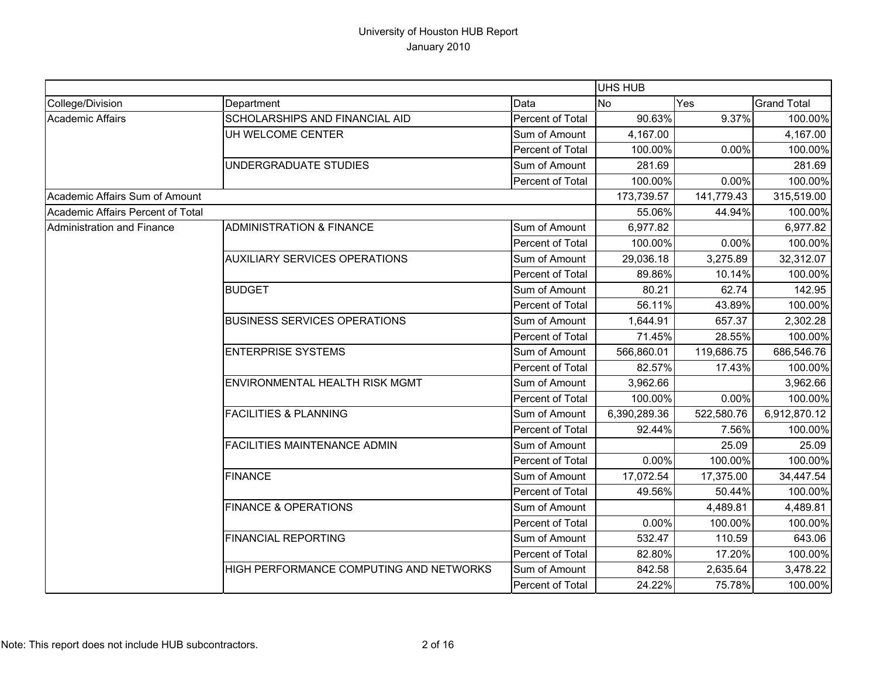|                                   |                                         |                  | <b>UHS HUB</b> |            |                    |
|-----------------------------------|-----------------------------------------|------------------|----------------|------------|--------------------|
| College/Division                  | Department                              | Data             | <b>No</b>      | Yes        | <b>Grand Total</b> |
| <b>Academic Affairs</b>           | SCHOLARSHIPS AND FINANCIAL AID          | Percent of Total | 90.63%         | 9.37%      | 100.00%            |
|                                   | UH WELCOME CENTER                       | Sum of Amount    | 4,167.00       |            | 4,167.00           |
|                                   |                                         | Percent of Total | 100.00%        | 0.00%      | 100.00%            |
|                                   | UNDERGRADUATE STUDIES                   | Sum of Amount    | 281.69         |            | 281.69             |
|                                   |                                         | Percent of Total | 100.00%        | 0.00%      | 100.00%            |
| Academic Affairs Sum of Amount    |                                         |                  | 173,739.57     | 141,779.43 | 315,519.00         |
| Academic Affairs Percent of Total |                                         |                  | 55.06%         | 44.94%     | 100.00%            |
| Administration and Finance        | <b>ADMINISTRATION &amp; FINANCE</b>     | Sum of Amount    | 6,977.82       |            | 6,977.82           |
|                                   |                                         | Percent of Total | 100.00%        | 0.00%      | 100.00%            |
|                                   | <b>AUXILIARY SERVICES OPERATIONS</b>    | Sum of Amount    | 29,036.18      | 3,275.89   | 32,312.07          |
|                                   |                                         | Percent of Total | 89.86%         | 10.14%     | 100.00%            |
|                                   | <b>BUDGET</b>                           | Sum of Amount    | 80.21          | 62.74      | 142.95             |
|                                   |                                         | Percent of Total | 56.11%         | 43.89%     | 100.00%            |
|                                   | <b>BUSINESS SERVICES OPERATIONS</b>     | Sum of Amount    | 1,644.91       | 657.37     | 2,302.28           |
|                                   |                                         | Percent of Total | 71.45%         | 28.55%     | 100.00%            |
|                                   | <b>ENTERPRISE SYSTEMS</b>               | Sum of Amount    | 566,860.01     | 119,686.75 | 686,546.76         |
|                                   |                                         | Percent of Total | 82.57%         | 17.43%     | 100.00%            |
|                                   | <b>ENVIRONMENTAL HEALTH RISK MGMT</b>   | Sum of Amount    | 3,962.66       |            | 3,962.66           |
|                                   |                                         | Percent of Total | 100.00%        | 0.00%      | 100.00%            |
|                                   | <b>FACILITIES &amp; PLANNING</b>        | Sum of Amount    | 6,390,289.36   | 522,580.76 | 6,912,870.12       |
|                                   |                                         | Percent of Total | 92.44%         | 7.56%      | 100.00%            |
|                                   | <b>FACILITIES MAINTENANCE ADMIN</b>     | Sum of Amount    |                | 25.09      | 25.09              |
|                                   |                                         | Percent of Total | 0.00%          | 100.00%    | 100.00%            |
|                                   | <b>FINANCE</b>                          | Sum of Amount    | 17,072.54      | 17,375.00  | 34,447.54          |
|                                   |                                         | Percent of Total | 49.56%         | 50.44%     | 100.00%            |
|                                   | <b>FINANCE &amp; OPERATIONS</b>         | Sum of Amount    |                | 4,489.81   | 4,489.81           |
|                                   |                                         | Percent of Total | $0.00\%$       | 100.00%    | 100.00%            |
|                                   | <b>FINANCIAL REPORTING</b>              | Sum of Amount    | 532.47         | 110.59     | 643.06             |
|                                   |                                         | Percent of Total | 82.80%         | 17.20%     | 100.00%            |
|                                   | HIGH PERFORMANCE COMPUTING AND NETWORKS | Sum of Amount    | 842.58         | 2,635.64   | 3,478.22           |
|                                   |                                         | Percent of Total | 24.22%         | 75.78%     | 100.00%            |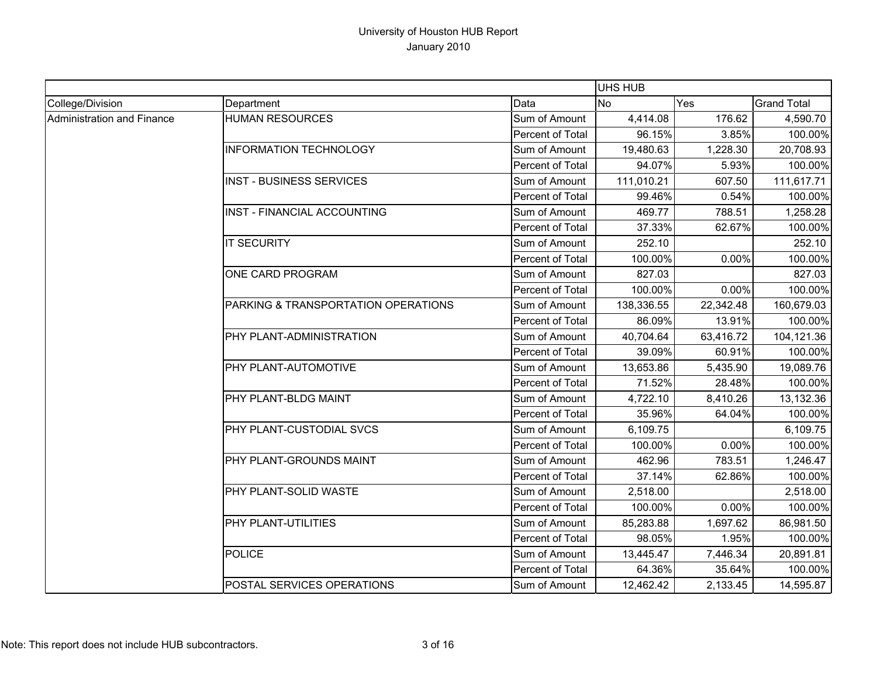|                                   |                                     |                  | <b>UHS HUB</b> |           |                    |
|-----------------------------------|-------------------------------------|------------------|----------------|-----------|--------------------|
| College/Division                  | Department                          | Data             | <b>No</b>      | Yes       | <b>Grand Total</b> |
| <b>Administration and Finance</b> | <b>HUMAN RESOURCES</b>              | Sum of Amount    | 4,414.08       | 176.62    | 4,590.70           |
|                                   |                                     | Percent of Total | 96.15%         | 3.85%     | 100.00%            |
|                                   | <b>INFORMATION TECHNOLOGY</b>       | Sum of Amount    | 19,480.63      | 1,228.30  | 20,708.93          |
|                                   |                                     | Percent of Total | 94.07%         | 5.93%     | 100.00%            |
|                                   | <b>INST - BUSINESS SERVICES</b>     | Sum of Amount    | 111,010.21     | 607.50    | 111,617.71         |
|                                   |                                     | Percent of Total | 99.46%         | 0.54%     | 100.00%            |
|                                   | INST - FINANCIAL ACCOUNTING         | Sum of Amount    | 469.77         | 788.51    | 1,258.28           |
|                                   |                                     | Percent of Total | 37.33%         | 62.67%    | 100.00%            |
|                                   | <b>IT SECURITY</b>                  | Sum of Amount    | 252.10         |           | 252.10             |
|                                   |                                     | Percent of Total | 100.00%        | 0.00%     | 100.00%            |
|                                   | ONE CARD PROGRAM                    | Sum of Amount    | 827.03         |           | 827.03             |
|                                   |                                     | Percent of Total | 100.00%        | 0.00%     | 100.00%            |
|                                   | PARKING & TRANSPORTATION OPERATIONS | Sum of Amount    | 138,336.55     | 22,342.48 | 160,679.03         |
|                                   |                                     | Percent of Total | 86.09%         | 13.91%    | 100.00%            |
|                                   | <b>PHY PLANT-ADMINISTRATION</b>     | Sum of Amount    | 40,704.64      | 63,416.72 | 104,121.36         |
|                                   |                                     | Percent of Total | 39.09%         | 60.91%    | 100.00%            |
|                                   | <b>PHY PLANT-AUTOMOTIVE</b>         | Sum of Amount    | 13,653.86      | 5,435.90  | 19,089.76          |
|                                   |                                     | Percent of Total | 71.52%         | 28.48%    | 100.00%            |
|                                   | PHY PLANT-BLDG MAINT                | Sum of Amount    | 4,722.10       | 8,410.26  | 13,132.36          |
|                                   |                                     | Percent of Total | 35.96%         | 64.04%    | 100.00%            |
|                                   | PHY PLANT-CUSTODIAL SVCS            | Sum of Amount    | 6,109.75       |           | 6,109.75           |
|                                   |                                     | Percent of Total | 100.00%        | 0.00%     | 100.00%            |
|                                   | PHY PLANT-GROUNDS MAINT             | Sum of Amount    | 462.96         | 783.51    | 1,246.47           |
|                                   |                                     | Percent of Total | 37.14%         | 62.86%    | 100.00%            |
|                                   | <b>PHY PLANT-SOLID WASTE</b>        | Sum of Amount    | 2,518.00       |           | 2,518.00           |
|                                   |                                     | Percent of Total | 100.00%        | 0.00%     | 100.00%            |
|                                   | PHY PLANT-UTILITIES                 | Sum of Amount    | 85,283.88      | 1,697.62  | 86,981.50          |
|                                   |                                     | Percent of Total | 98.05%         | 1.95%     | 100.00%            |
|                                   | <b>POLICE</b>                       | Sum of Amount    | 13,445.47      | 7,446.34  | 20,891.81          |
|                                   |                                     | Percent of Total | 64.36%         | 35.64%    | 100.00%            |
|                                   | POSTAL SERVICES OPERATIONS          | Sum of Amount    | 12,462.42      | 2,133.45  | 14,595.87          |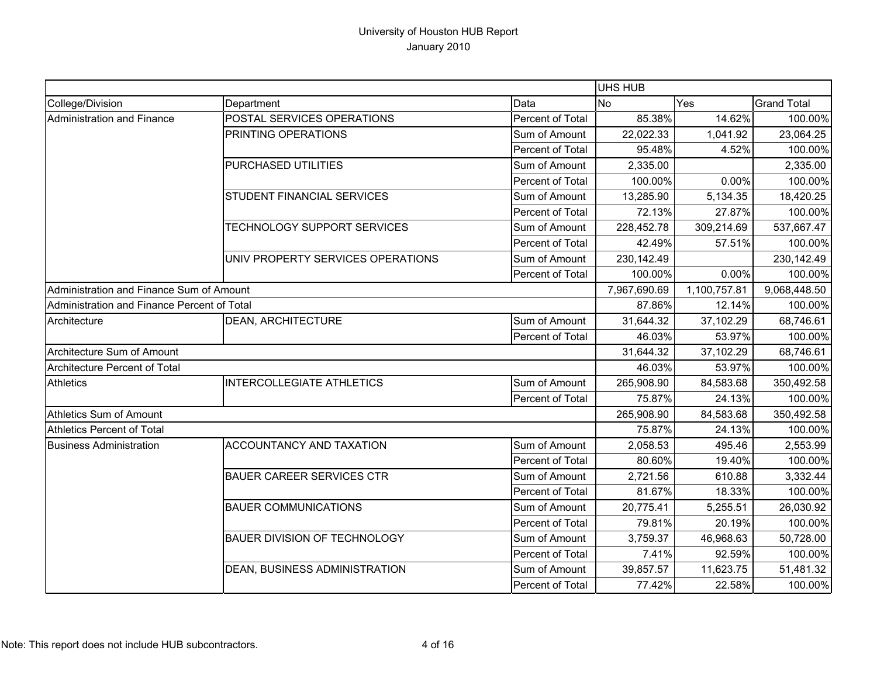|                                             |                                     |                  | <b>UHS HUB</b> |              |                    |
|---------------------------------------------|-------------------------------------|------------------|----------------|--------------|--------------------|
| College/Division                            | Department                          | Data             | <b>No</b>      | Yes          | <b>Grand Total</b> |
| Administration and Finance                  | POSTAL SERVICES OPERATIONS          | Percent of Total | 85.38%         | 14.62%       | 100.00%            |
|                                             | PRINTING OPERATIONS                 | Sum of Amount    | 22,022.33      | 1,041.92     | 23,064.25          |
|                                             |                                     | Percent of Total | 95.48%         | 4.52%        | 100.00%            |
|                                             | PURCHASED UTILITIES                 | Sum of Amount    | 2,335.00       |              | 2,335.00           |
|                                             |                                     | Percent of Total | 100.00%        | 0.00%        | 100.00%            |
|                                             | STUDENT FINANCIAL SERVICES          | Sum of Amount    | 13,285.90      | 5,134.35     | 18,420.25          |
|                                             |                                     | Percent of Total | 72.13%         | 27.87%       | 100.00%            |
|                                             | TECHNOLOGY SUPPORT SERVICES         | Sum of Amount    | 228,452.78     | 309,214.69   | 537,667.47         |
|                                             |                                     | Percent of Total | 42.49%         | 57.51%       | 100.00%            |
|                                             | UNIV PROPERTY SERVICES OPERATIONS   | Sum of Amount    | 230, 142.49    |              | 230,142.49         |
|                                             |                                     | Percent of Total | 100.00%        | 0.00%        | 100.00%            |
| Administration and Finance Sum of Amount    |                                     |                  | 7,967,690.69   | 1,100,757.81 | 9,068,448.50       |
| Administration and Finance Percent of Total |                                     |                  | 87.86%         | 12.14%       | 100.00%            |
| Architecture                                | <b>DEAN, ARCHITECTURE</b>           | Sum of Amount    | 31,644.32      | 37,102.29    | 68,746.61          |
|                                             |                                     | Percent of Total | 46.03%         | 53.97%       | 100.00%            |
| Architecture Sum of Amount                  |                                     |                  | 31,644.32      | 37,102.29    | 68,746.61          |
| Architecture Percent of Total               |                                     |                  | 46.03%         | 53.97%       | 100.00%            |
| <b>Athletics</b>                            | <b>INTERCOLLEGIATE ATHLETICS</b>    | Sum of Amount    | 265,908.90     | 84,583.68    | 350,492.58         |
|                                             |                                     | Percent of Total | 75.87%         | 24.13%       | 100.00%            |
| Athletics Sum of Amount                     |                                     |                  | 265,908.90     | 84,583.68    | 350,492.58         |
| <b>Athletics Percent of Total</b>           |                                     |                  | 75.87%         | 24.13%       | 100.00%            |
| <b>Business Administration</b>              | <b>ACCOUNTANCY AND TAXATION</b>     | Sum of Amount    | 2,058.53       | 495.46       | 2,553.99           |
|                                             |                                     | Percent of Total | 80.60%         | 19.40%       | 100.00%            |
|                                             | <b>BAUER CAREER SERVICES CTR</b>    | Sum of Amount    | 2,721.56       | 610.88       | 3,332.44           |
|                                             |                                     | Percent of Total | 81.67%         | 18.33%       | 100.00%            |
|                                             | <b>BAUER COMMUNICATIONS</b>         | Sum of Amount    | 20,775.41      | 5,255.51     | 26,030.92          |
|                                             |                                     | Percent of Total | 79.81%         | 20.19%       | 100.00%            |
|                                             | <b>BAUER DIVISION OF TECHNOLOGY</b> | Sum of Amount    | 3,759.37       | 46,968.63    | 50,728.00          |
|                                             |                                     | Percent of Total | 7.41%          | 92.59%       | 100.00%            |
|                                             | DEAN, BUSINESS ADMINISTRATION       | Sum of Amount    | 39,857.57      | 11,623.75    | 51,481.32          |
|                                             |                                     | Percent of Total | 77.42%         | 22.58%       | 100.00%            |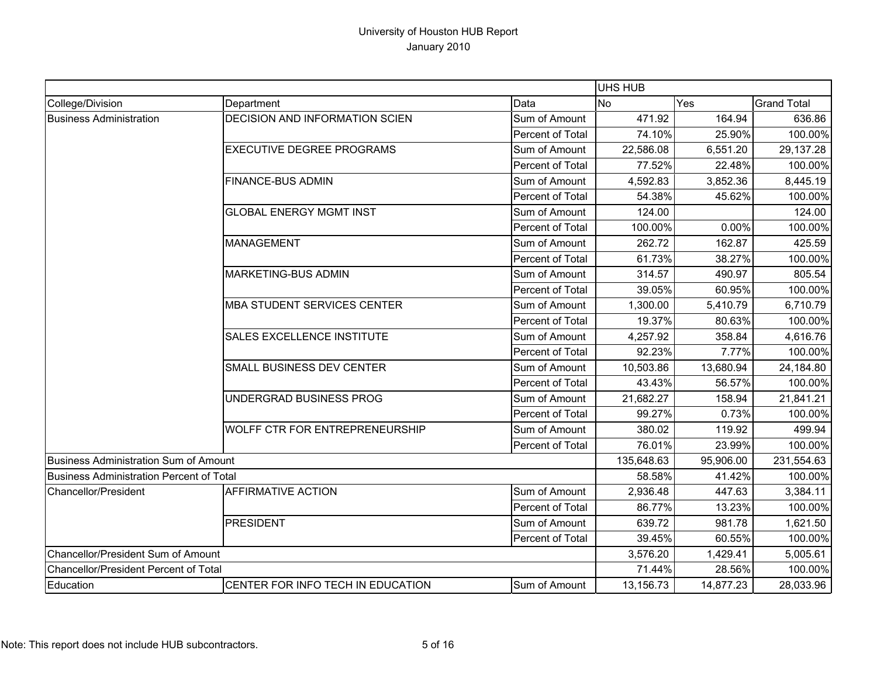|                                                 |                                       |                         | UHS HUB    |           |                    |
|-------------------------------------------------|---------------------------------------|-------------------------|------------|-----------|--------------------|
| College/Division                                | Department                            | Data                    | <b>No</b>  | Yes       | <b>Grand Total</b> |
| <b>Business Administration</b>                  | <b>DECISION AND INFORMATION SCIEN</b> | Sum of Amount           | 471.92     | 164.94    | 636.86             |
|                                                 |                                       | Percent of Total        | 74.10%     | 25.90%    | 100.00%            |
|                                                 | <b>EXECUTIVE DEGREE PROGRAMS</b>      | Sum of Amount           | 22,586.08  | 6,551.20  | 29,137.28          |
|                                                 |                                       | <b>Percent of Total</b> | 77.52%     | 22.48%    | 100.00%            |
|                                                 | <b>FINANCE-BUS ADMIN</b>              | Sum of Amount           | 4,592.83   | 3,852.36  | 8,445.19           |
|                                                 |                                       | <b>Percent of Total</b> | 54.38%     | 45.62%    | 100.00%            |
|                                                 | <b>GLOBAL ENERGY MGMT INST</b>        | Sum of Amount           | 124.00     |           | 124.00             |
|                                                 |                                       | Percent of Total        | 100.00%    | 0.00%     | 100.00%            |
|                                                 | <b>MANAGEMENT</b>                     | Sum of Amount           | 262.72     | 162.87    | 425.59             |
|                                                 |                                       | Percent of Total        | 61.73%     | 38.27%    | 100.00%            |
|                                                 | <b>MARKETING-BUS ADMIN</b>            | Sum of Amount           | 314.57     | 490.97    | 805.54             |
|                                                 |                                       | <b>Percent of Total</b> | 39.05%     | 60.95%    | 100.00%            |
|                                                 | <b>MBA STUDENT SERVICES CENTER</b>    | Sum of Amount           | 1,300.00   | 5,410.79  | 6,710.79           |
|                                                 |                                       | <b>Percent of Total</b> | 19.37%     | 80.63%    | 100.00%            |
|                                                 | <b>SALES EXCELLENCE INSTITUTE</b>     | Sum of Amount           | 4,257.92   | 358.84    | 4,616.76           |
|                                                 |                                       | Percent of Total        | 92.23%     | 7.77%     | 100.00%            |
|                                                 | SMALL BUSINESS DEV CENTER             | Sum of Amount           | 10,503.86  | 13,680.94 | 24,184.80          |
|                                                 |                                       | <b>Percent of Total</b> | 43.43%     | 56.57%    | 100.00%            |
|                                                 | UNDERGRAD BUSINESS PROG               | Sum of Amount           | 21,682.27  | 158.94    | 21,841.21          |
|                                                 |                                       | <b>Percent of Total</b> | 99.27%     | 0.73%     | 100.00%            |
|                                                 | <b>WOLFF CTR FOR ENTREPRENEURSHIP</b> | Sum of Amount           | 380.02     | 119.92    | 499.94             |
|                                                 |                                       | Percent of Total        | 76.01%     | 23.99%    | 100.00%            |
| <b>Business Administration Sum of Amount</b>    |                                       |                         | 135,648.63 | 95,906.00 | 231,554.63         |
| <b>Business Administration Percent of Total</b> |                                       |                         | 58.58%     | 41.42%    | 100.00%            |
| Chancellor/President                            | <b>AFFIRMATIVE ACTION</b>             | Sum of Amount           | 2,936.48   | 447.63    | 3,384.11           |
|                                                 |                                       | <b>Percent of Total</b> | 86.77%     | 13.23%    | 100.00%            |
|                                                 | <b>PRESIDENT</b>                      | Sum of Amount           | 639.72     | 981.78    | 1,621.50           |
|                                                 |                                       | Percent of Total        | 39.45%     | 60.55%    | 100.00%            |
| Chancellor/President Sum of Amount              |                                       |                         | 3,576.20   | 1,429.41  | 5,005.61           |
| Chancellor/President Percent of Total           |                                       |                         | 71.44%     | 28.56%    | 100.00%            |
| Education                                       | CENTER FOR INFO TECH IN EDUCATION     | Sum of Amount           | 13,156.73  | 14,877.23 | 28,033.96          |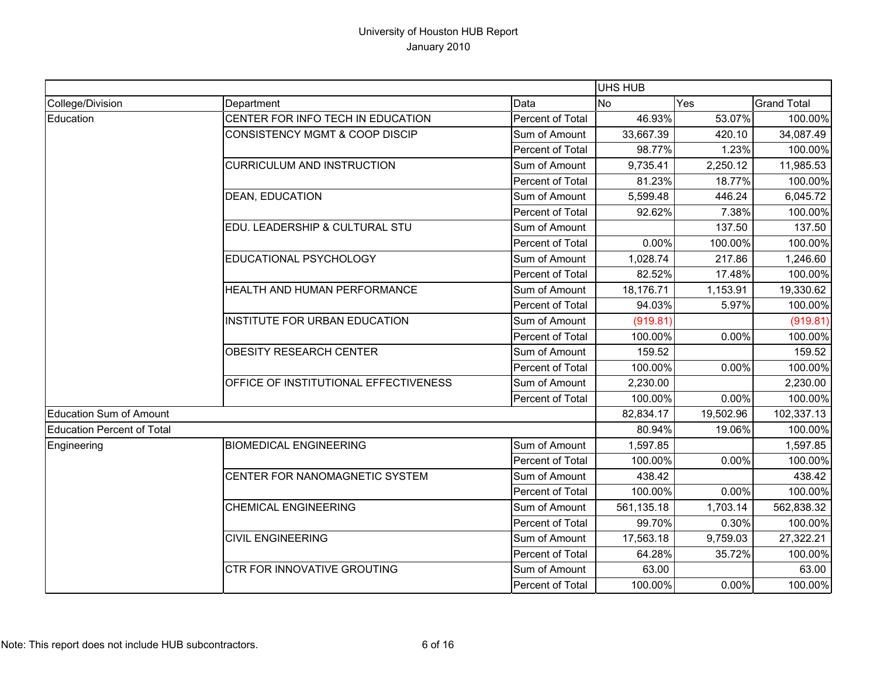|                                   |                                           |                         | <b>UHS HUB</b> |           |                    |
|-----------------------------------|-------------------------------------------|-------------------------|----------------|-----------|--------------------|
| College/Division                  | Department                                | Data                    | <b>No</b>      | Yes       | <b>Grand Total</b> |
| Education                         | CENTER FOR INFO TECH IN EDUCATION         | Percent of Total        | 46.93%         | 53.07%    | 100.00%            |
|                                   | <b>CONSISTENCY MGMT &amp; COOP DISCIP</b> | Sum of Amount           | 33,667.39      | 420.10    | 34,087.49          |
|                                   |                                           | Percent of Total        | 98.77%         | 1.23%     | 100.00%            |
|                                   | <b>CURRICULUM AND INSTRUCTION</b>         | Sum of Amount           | 9,735.41       | 2,250.12  | 11,985.53          |
|                                   |                                           | Percent of Total        | 81.23%         | 18.77%    | 100.00%            |
|                                   | <b>DEAN, EDUCATION</b>                    | Sum of Amount           | 5,599.48       | 446.24    | 6,045.72           |
|                                   |                                           | Percent of Total        | 92.62%         | 7.38%     | 100.00%            |
|                                   | EDU. LEADERSHIP & CULTURAL STU            | Sum of Amount           |                | 137.50    | 137.50             |
|                                   |                                           | Percent of Total        | 0.00%          | 100.00%   | 100.00%            |
|                                   | EDUCATIONAL PSYCHOLOGY                    | Sum of Amount           | 1,028.74       | 217.86    | 1,246.60           |
|                                   |                                           | Percent of Total        | 82.52%         | 17.48%    | 100.00%            |
|                                   | HEALTH AND HUMAN PERFORMANCE              | Sum of Amount           | 18,176.71      | 1,153.91  | 19,330.62          |
|                                   |                                           | Percent of Total        | 94.03%         | 5.97%     | 100.00%            |
|                                   | INSTITUTE FOR URBAN EDUCATION             | Sum of Amount           | (919.81)       |           | (919.81)           |
|                                   |                                           | Percent of Total        | 100.00%        | 0.00%     | 100.00%            |
|                                   | <b>OBESITY RESEARCH CENTER</b>            | Sum of Amount           | 159.52         |           | 159.52             |
|                                   |                                           | <b>Percent of Total</b> | 100.00%        | 0.00%     | 100.00%            |
|                                   | OFFICE OF INSTITUTIONAL EFFECTIVENESS     | Sum of Amount           | 2,230.00       |           | 2,230.00           |
|                                   |                                           | Percent of Total        | 100.00%        | 0.00%     | 100.00%            |
| Education Sum of Amount           |                                           |                         | 82,834.17      | 19,502.96 | 102,337.13         |
| <b>Education Percent of Total</b> |                                           |                         | 80.94%         | 19.06%    | 100.00%            |
| Engineering                       | <b>BIOMEDICAL ENGINEERING</b>             | Sum of Amount           | 1,597.85       |           | 1,597.85           |
|                                   |                                           | <b>Percent of Total</b> | 100.00%        | 0.00%     | 100.00%            |
|                                   | CENTER FOR NANOMAGNETIC SYSTEM            | Sum of Amount           | 438.42         |           | 438.42             |
|                                   |                                           | Percent of Total        | 100.00%        | 0.00%     | 100.00%            |
|                                   | <b>CHEMICAL ENGINEERING</b>               | Sum of Amount           | 561,135.18     | 1,703.14  | 562,838.32         |
|                                   |                                           | <b>Percent of Total</b> | 99.70%         | 0.30%     | 100.00%            |
|                                   | <b>CIVIL ENGINEERING</b>                  | Sum of Amount           | 17,563.18      | 9,759.03  | 27,322.21          |
|                                   |                                           | Percent of Total        | 64.28%         | 35.72%    | 100.00%            |
|                                   | <b>CTR FOR INNOVATIVE GROUTING</b>        | Sum of Amount           | 63.00          |           | 63.00              |
|                                   |                                           | Percent of Total        | 100.00%        | 0.00%     | 100.00%            |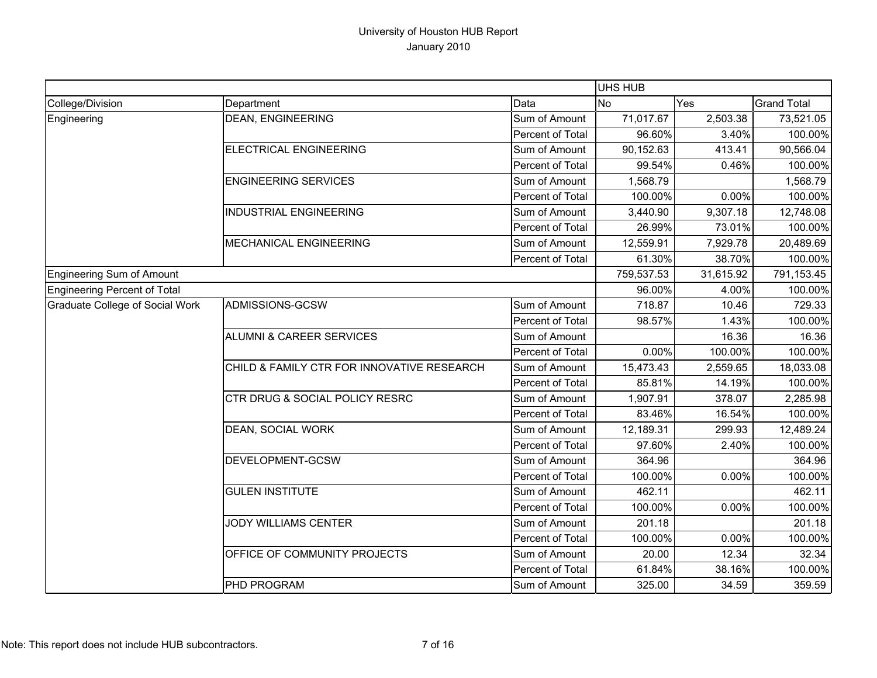|                                        |                                            |                  | <b>UHS HUB</b> |           |                    |
|----------------------------------------|--------------------------------------------|------------------|----------------|-----------|--------------------|
| College/Division                       | Department                                 | Data             | <b>No</b>      | Yes       | <b>Grand Total</b> |
| Engineering                            | <b>DEAN, ENGINEERING</b>                   | Sum of Amount    | 71,017.67      | 2,503.38  | 73,521.05          |
|                                        |                                            | Percent of Total | 96.60%         | 3.40%     | 100.00%            |
|                                        | <b>ELECTRICAL ENGINEERING</b>              | Sum of Amount    | 90,152.63      | 413.41    | 90,566.04          |
|                                        |                                            | Percent of Total | 99.54%         | 0.46%     | 100.00%            |
|                                        | <b>ENGINEERING SERVICES</b>                | Sum of Amount    | 1,568.79       |           | 1,568.79           |
|                                        |                                            | Percent of Total | 100.00%        | 0.00%     | 100.00%            |
|                                        | <b>INDUSTRIAL ENGINEERING</b>              | Sum of Amount    | 3,440.90       | 9,307.18  | 12,748.08          |
|                                        |                                            | Percent of Total | 26.99%         | 73.01%    | 100.00%            |
|                                        | MECHANICAL ENGINEERING                     | Sum of Amount    | 12,559.91      | 7,929.78  | 20,489.69          |
|                                        |                                            | Percent of Total | 61.30%         | 38.70%    | 100.00%            |
| <b>Engineering Sum of Amount</b>       |                                            |                  | 759,537.53     | 31,615.92 | 791,153.45         |
| Engineering Percent of Total           |                                            |                  | 96.00%         | 4.00%     | 100.00%            |
| <b>Graduate College of Social Work</b> | ADMISSIONS-GCSW                            | Sum of Amount    | 718.87         | 10.46     | 729.33             |
|                                        |                                            | Percent of Total | 98.57%         | 1.43%     | 100.00%            |
|                                        | <b>ALUMNI &amp; CAREER SERVICES</b>        | Sum of Amount    |                | 16.36     | 16.36              |
|                                        |                                            | Percent of Total | 0.00%          | 100.00%   | 100.00%            |
|                                        | CHILD & FAMILY CTR FOR INNOVATIVE RESEARCH | Sum of Amount    | 15,473.43      | 2,559.65  | 18,033.08          |
|                                        |                                            | Percent of Total | 85.81%         | 14.19%    | 100.00%            |
|                                        | CTR DRUG & SOCIAL POLICY RESRC             | Sum of Amount    | 1,907.91       | 378.07    | 2,285.98           |
|                                        |                                            | Percent of Total | 83.46%         | 16.54%    | 100.00%            |
|                                        | DEAN, SOCIAL WORK                          | Sum of Amount    | 12,189.31      | 299.93    | 12,489.24          |
|                                        |                                            | Percent of Total | 97.60%         | 2.40%     | 100.00%            |
|                                        | DEVELOPMENT-GCSW                           | Sum of Amount    | 364.96         |           | 364.96             |
|                                        |                                            | Percent of Total | 100.00%        | 0.00%     | 100.00%            |
|                                        | <b>GULEN INSTITUTE</b>                     | Sum of Amount    | 462.11         |           | 462.11             |
|                                        |                                            | Percent of Total | 100.00%        | 0.00%     | 100.00%            |
|                                        | JODY WILLIAMS CENTER                       | Sum of Amount    | 201.18         |           | 201.18             |
|                                        |                                            | Percent of Total | 100.00%        | 0.00%     | 100.00%            |
|                                        | OFFICE OF COMMUNITY PROJECTS               | Sum of Amount    | 20.00          | 12.34     | 32.34              |
|                                        |                                            | Percent of Total | 61.84%         | 38.16%    | 100.00%            |
|                                        | PHD PROGRAM                                | Sum of Amount    | 325.00         | 34.59     | 359.59             |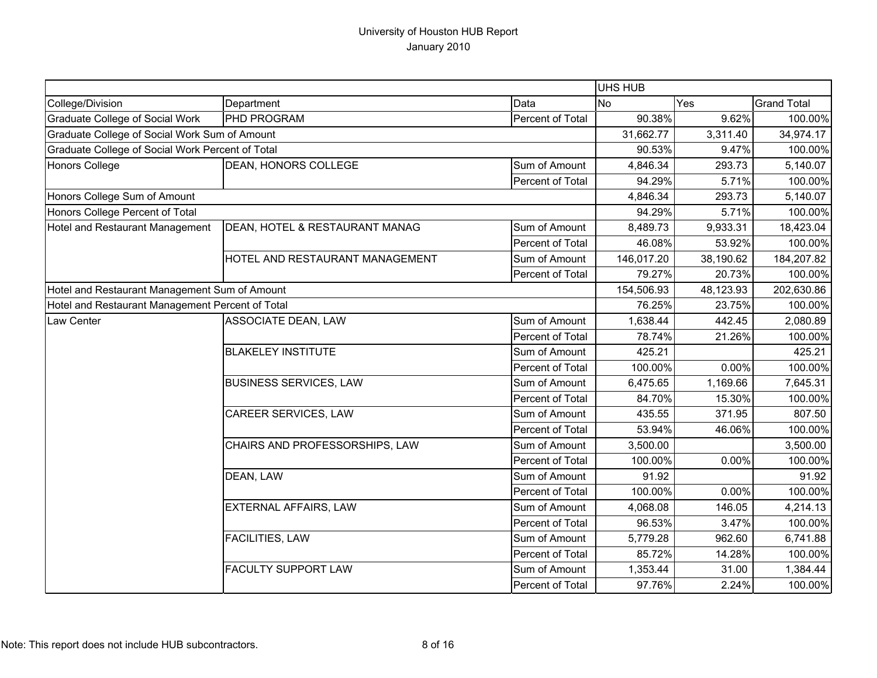|                                                  |                                 |                  | <b>UHS HUB</b> |           |                    |
|--------------------------------------------------|---------------------------------|------------------|----------------|-----------|--------------------|
| College/Division                                 | Department                      | Data             | <b>No</b>      | Yes       | <b>Grand Total</b> |
| Graduate College of Social Work                  | PHD PROGRAM                     | Percent of Total | 90.38%         | 9.62%     | 100.00%            |
| Graduate College of Social Work Sum of Amount    |                                 |                  | 31,662.77      | 3,311.40  | 34,974.17          |
| Graduate College of Social Work Percent of Total |                                 |                  | 90.53%         | 9.47%     | 100.00%            |
| <b>Honors College</b>                            | <b>DEAN, HONORS COLLEGE</b>     | Sum of Amount    | 4,846.34       | 293.73    | 5,140.07           |
|                                                  |                                 | Percent of Total | 94.29%         | 5.71%     | 100.00%            |
| Honors College Sum of Amount                     |                                 |                  | 4,846.34       | 293.73    | 5,140.07           |
| Honors College Percent of Total                  |                                 |                  | 94.29%         | 5.71%     | 100.00%            |
| Hotel and Restaurant Management                  | DEAN, HOTEL & RESTAURANT MANAG  | Sum of Amount    | 8,489.73       | 9,933.31  | 18,423.04          |
|                                                  |                                 | Percent of Total | 46.08%         | 53.92%    | 100.00%            |
|                                                  | HOTEL AND RESTAURANT MANAGEMENT | Sum of Amount    | 146,017.20     | 38,190.62 | 184,207.82         |
|                                                  |                                 | Percent of Total | 79.27%         | 20.73%    | 100.00%            |
| Hotel and Restaurant Management Sum of Amount    |                                 |                  | 154,506.93     | 48,123.93 | 202,630.86         |
| Hotel and Restaurant Management Percent of Total |                                 |                  | 76.25%         | 23.75%    | 100.00%            |
| Law Center                                       | ASSOCIATE DEAN, LAW             | Sum of Amount    | 1,638.44       | 442.45    | 2,080.89           |
|                                                  |                                 | Percent of Total | 78.74%         | 21.26%    | 100.00%            |
|                                                  | <b>BLAKELEY INSTITUTE</b>       | Sum of Amount    | 425.21         |           | 425.21             |
|                                                  |                                 | Percent of Total | 100.00%        | 0.00%     | 100.00%            |
|                                                  | <b>BUSINESS SERVICES, LAW</b>   | Sum of Amount    | 6,475.65       | 1,169.66  | 7,645.31           |
|                                                  |                                 | Percent of Total | 84.70%         | 15.30%    | 100.00%            |
|                                                  | <b>CAREER SERVICES, LAW</b>     | Sum of Amount    | 435.55         | 371.95    | 807.50             |
|                                                  |                                 | Percent of Total | 53.94%         | 46.06%    | 100.00%            |
|                                                  | CHAIRS AND PROFESSORSHIPS, LAW  | Sum of Amount    | 3,500.00       |           | 3,500.00           |
|                                                  |                                 | Percent of Total | 100.00%        | 0.00%     | 100.00%            |
|                                                  | DEAN, LAW                       | Sum of Amount    | 91.92          |           | 91.92              |
|                                                  |                                 | Percent of Total | 100.00%        | 0.00%     | 100.00%            |
|                                                  | <b>EXTERNAL AFFAIRS, LAW</b>    | Sum of Amount    | 4,068.08       | 146.05    | 4,214.13           |
|                                                  |                                 | Percent of Total | 96.53%         | 3.47%     | 100.00%            |
|                                                  | <b>FACILITIES, LAW</b>          | Sum of Amount    | 5,779.28       | 962.60    | 6,741.88           |
|                                                  |                                 | Percent of Total | 85.72%         | 14.28%    | 100.00%            |
|                                                  | <b>FACULTY SUPPORT LAW</b>      | Sum of Amount    | 1,353.44       | 31.00     | 1,384.44           |
|                                                  |                                 | Percent of Total | 97.76%         | 2.24%     | 100.00%            |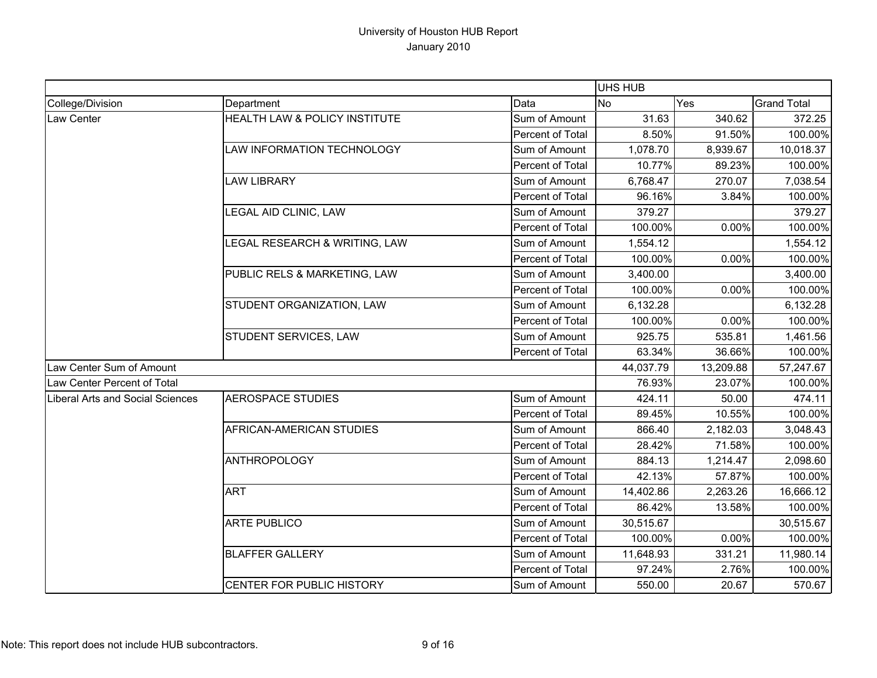|                                  |                               |                  | UHS HUB   |           |                    |
|----------------------------------|-------------------------------|------------------|-----------|-----------|--------------------|
| College/Division                 | Department                    | Data             | <b>No</b> | Yes       | <b>Grand Total</b> |
| Law Center                       | HEALTH LAW & POLICY INSTITUTE | Sum of Amount    | 31.63     | 340.62    | 372.25             |
|                                  |                               | Percent of Total | 8.50%     | 91.50%    | 100.00%            |
|                                  | LAW INFORMATION TECHNOLOGY    | Sum of Amount    | 1,078.70  | 8,939.67  | 10,018.37          |
|                                  |                               | Percent of Total | 10.77%    | 89.23%    | 100.00%            |
|                                  | <b>LAW LIBRARY</b>            | Sum of Amount    | 6,768.47  | 270.07    | 7,038.54           |
|                                  |                               | Percent of Total | 96.16%    | 3.84%     | 100.00%            |
|                                  | LEGAL AID CLINIC, LAW         | Sum of Amount    | 379.27    |           | 379.27             |
|                                  |                               | Percent of Total | 100.00%   | 0.00%     | 100.00%            |
|                                  | LEGAL RESEARCH & WRITING, LAW | Sum of Amount    | 1,554.12  |           | 1,554.12           |
|                                  |                               | Percent of Total | 100.00%   | 0.00%     | 100.00%            |
|                                  | PUBLIC RELS & MARKETING, LAW  | Sum of Amount    | 3,400.00  |           | 3,400.00           |
|                                  |                               | Percent of Total | 100.00%   | 0.00%     | 100.00%            |
|                                  | STUDENT ORGANIZATION, LAW     | Sum of Amount    | 6,132.28  |           | 6,132.28           |
|                                  |                               | Percent of Total | 100.00%   | 0.00%     | 100.00%            |
|                                  | STUDENT SERVICES, LAW         | Sum of Amount    | 925.75    | 535.81    | 1,461.56           |
|                                  |                               | Percent of Total | 63.34%    | 36.66%    | 100.00%            |
| Law Center Sum of Amount         |                               |                  | 44,037.79 | 13,209.88 | 57,247.67          |
| Law Center Percent of Total      |                               |                  | 76.93%    | 23.07%    | 100.00%            |
| Liberal Arts and Social Sciences | <b>AEROSPACE STUDIES</b>      | Sum of Amount    | 424.11    | 50.00     | 474.11             |
|                                  |                               | Percent of Total | 89.45%    | 10.55%    | 100.00%            |
|                                  | AFRICAN-AMERICAN STUDIES      | Sum of Amount    | 866.40    | 2,182.03  | 3,048.43           |
|                                  |                               | Percent of Total | 28.42%    | 71.58%    | 100.00%            |
|                                  | <b>ANTHROPOLOGY</b>           | Sum of Amount    | 884.13    | 1,214.47  | 2,098.60           |
|                                  |                               | Percent of Total | 42.13%    | 57.87%    | 100.00%            |
|                                  | <b>ART</b>                    | Sum of Amount    | 14,402.86 | 2,263.26  | 16,666.12          |
|                                  |                               | Percent of Total | 86.42%    | 13.58%    | 100.00%            |
|                                  | <b>ARTE PUBLICO</b>           | Sum of Amount    | 30,515.67 |           | 30,515.67          |
|                                  |                               | Percent of Total | 100.00%   | 0.00%     | 100.00%            |
|                                  | <b>BLAFFER GALLERY</b>        | Sum of Amount    | 11,648.93 | 331.21    | 11,980.14          |
|                                  |                               | Percent of Total | 97.24%    | 2.76%     | 100.00%            |
|                                  | CENTER FOR PUBLIC HISTORY     | Sum of Amount    | 550.00    | 20.67     | 570.67             |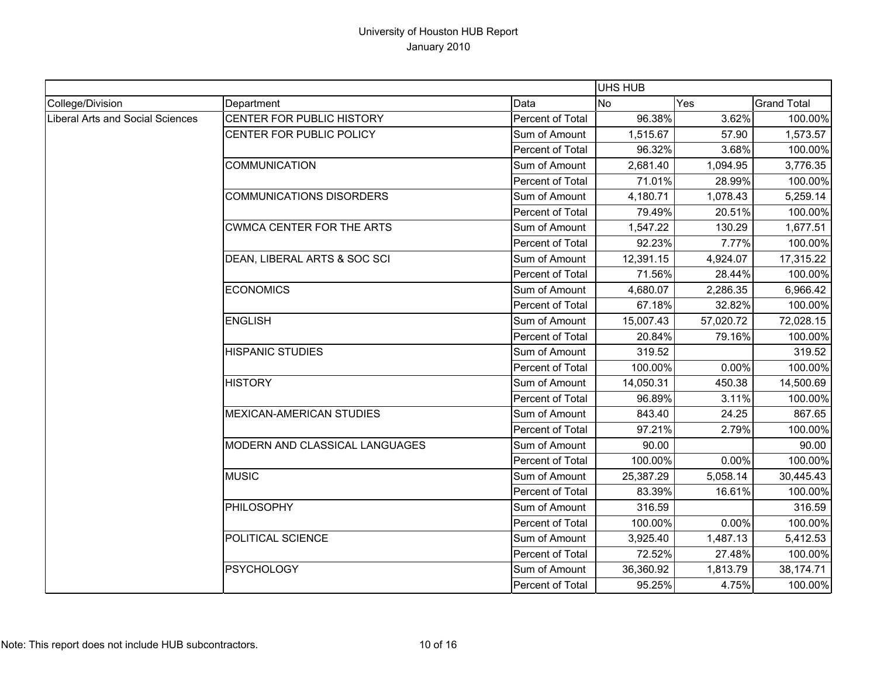|                                  |                                  |                  | <b>UHS HUB</b> |           |                    |
|----------------------------------|----------------------------------|------------------|----------------|-----------|--------------------|
| College/Division                 | Department                       | Data             | <b>No</b>      | Yes       | <b>Grand Total</b> |
| Liberal Arts and Social Sciences | CENTER FOR PUBLIC HISTORY        | Percent of Total | 96.38%         | 3.62%     | 100.00%            |
|                                  | CENTER FOR PUBLIC POLICY         | Sum of Amount    | 1,515.67       | 57.90     | 1,573.57           |
|                                  |                                  | Percent of Total | 96.32%         | 3.68%     | 100.00%            |
|                                  | <b>COMMUNICATION</b>             | Sum of Amount    | 2,681.40       | 1,094.95  | 3,776.35           |
|                                  |                                  | Percent of Total | 71.01%         | 28.99%    | 100.00%            |
|                                  | <b>COMMUNICATIONS DISORDERS</b>  | Sum of Amount    | 4,180.71       | 1,078.43  | 5,259.14           |
|                                  |                                  | Percent of Total | 79.49%         | 20.51%    | 100.00%            |
|                                  | <b>CWMCA CENTER FOR THE ARTS</b> | Sum of Amount    | 1,547.22       | 130.29    | 1,677.51           |
|                                  |                                  | Percent of Total | 92.23%         | 7.77%     | 100.00%            |
|                                  | DEAN, LIBERAL ARTS & SOC SCI     | Sum of Amount    | 12,391.15      | 4,924.07  | 17,315.22          |
|                                  |                                  | Percent of Total | 71.56%         | 28.44%    | 100.00%            |
|                                  | <b>ECONOMICS</b>                 | Sum of Amount    | 4,680.07       | 2,286.35  | 6,966.42           |
|                                  |                                  | Percent of Total | 67.18%         | 32.82%    | 100.00%            |
|                                  | <b>ENGLISH</b>                   | Sum of Amount    | 15,007.43      | 57,020.72 | 72,028.15          |
|                                  |                                  | Percent of Total | 20.84%         | 79.16%    | 100.00%            |
|                                  | <b>HISPANIC STUDIES</b>          | Sum of Amount    | 319.52         |           | 319.52             |
|                                  |                                  | Percent of Total | 100.00%        | 0.00%     | 100.00%            |
|                                  | <b>HISTORY</b>                   | Sum of Amount    | 14,050.31      | 450.38    | 14,500.69          |
|                                  |                                  | Percent of Total | 96.89%         | 3.11%     | 100.00%            |
|                                  | <b>MEXICAN-AMERICAN STUDIES</b>  | Sum of Amount    | 843.40         | 24.25     | 867.65             |
|                                  |                                  | Percent of Total | 97.21%         | 2.79%     | 100.00%            |
|                                  | MODERN AND CLASSICAL LANGUAGES   | Sum of Amount    | 90.00          |           | 90.00              |
|                                  |                                  | Percent of Total | 100.00%        | 0.00%     | 100.00%            |
|                                  | <b>MUSIC</b>                     | Sum of Amount    | 25,387.29      | 5,058.14  | 30,445.43          |
|                                  |                                  | Percent of Total | 83.39%         | 16.61%    | 100.00%            |
|                                  | PHILOSOPHY                       | Sum of Amount    | 316.59         |           | 316.59             |
|                                  |                                  | Percent of Total | 100.00%        | 0.00%     | 100.00%            |
|                                  | POLITICAL SCIENCE                | Sum of Amount    | 3,925.40       | 1,487.13  | 5,412.53           |
|                                  |                                  | Percent of Total | 72.52%         | 27.48%    | 100.00%            |
|                                  | <b>PSYCHOLOGY</b>                | Sum of Amount    | 36,360.92      | 1,813.79  | 38,174.71          |
|                                  |                                  | Percent of Total | 95.25%         | 4.75%     | 100.00%            |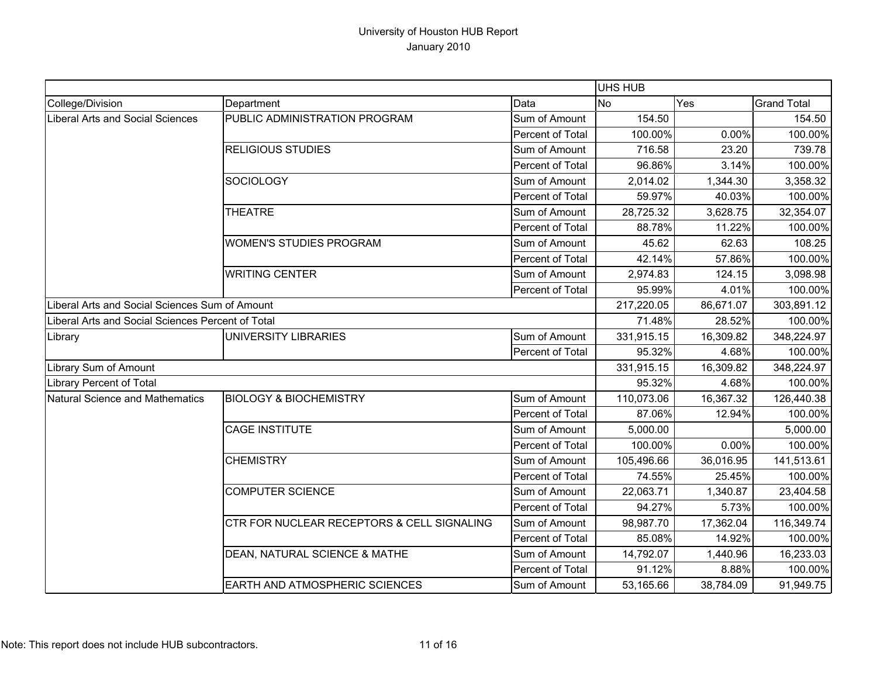|                                                   |                                                |                  | UHS HUB    |           |                    |
|---------------------------------------------------|------------------------------------------------|------------------|------------|-----------|--------------------|
| College/Division                                  | Department                                     | Data             | <b>No</b>  | Yes       | <b>Grand Total</b> |
| Liberal Arts and Social Sciences                  | PUBLIC ADMINISTRATION PROGRAM                  | Sum of Amount    | 154.50     |           | 154.50             |
|                                                   |                                                | Percent of Total | 100.00%    | 0.00%     | 100.00%            |
|                                                   | <b>RELIGIOUS STUDIES</b>                       | Sum of Amount    | 716.58     | 23.20     | 739.78             |
|                                                   |                                                | Percent of Total | 96.86%     | 3.14%     | 100.00%            |
|                                                   | <b>SOCIOLOGY</b>                               | Sum of Amount    | 2,014.02   | 1,344.30  | 3,358.32           |
|                                                   |                                                | Percent of Total | 59.97%     | 40.03%    | 100.00%            |
|                                                   | <b>THEATRE</b>                                 | Sum of Amount    | 28,725.32  | 3,628.75  | 32,354.07          |
|                                                   |                                                | Percent of Total | 88.78%     | 11.22%    | 100.00%            |
|                                                   | <b>WOMEN'S STUDIES PROGRAM</b>                 | Sum of Amount    | 45.62      | 62.63     | 108.25             |
|                                                   |                                                | Percent of Total | 42.14%     | 57.86%    | 100.00%            |
|                                                   | <b>WRITING CENTER</b>                          | Sum of Amount    | 2,974.83   | 124.15    | 3,098.98           |
|                                                   |                                                | Percent of Total | 95.99%     | 4.01%     | 100.00%            |
|                                                   | Liberal Arts and Social Sciences Sum of Amount |                  | 217,220.05 | 86,671.07 | 303,891.12         |
| Liberal Arts and Social Sciences Percent of Total |                                                |                  | 71.48%     | 28.52%    | 100.00%            |
| Library                                           | UNIVERSITY LIBRARIES                           | Sum of Amount    | 331,915.15 | 16,309.82 | 348,224.97         |
|                                                   |                                                | Percent of Total | 95.32%     | 4.68%     | 100.00%            |
| Library Sum of Amount                             |                                                |                  | 331,915.15 | 16,309.82 | 348,224.97         |
| Library Percent of Total                          |                                                |                  | 95.32%     | 4.68%     | 100.00%            |
| Natural Science and Mathematics                   | <b>BIOLOGY &amp; BIOCHEMISTRY</b>              | Sum of Amount    | 110,073.06 | 16,367.32 | 126,440.38         |
|                                                   |                                                | Percent of Total | 87.06%     | 12.94%    | 100.00%            |
|                                                   | <b>CAGE INSTITUTE</b>                          | Sum of Amount    | 5,000.00   |           | 5,000.00           |
|                                                   |                                                | Percent of Total | 100.00%    | 0.00%     | 100.00%            |
|                                                   | <b>CHEMISTRY</b>                               | Sum of Amount    | 105,496.66 | 36,016.95 | 141,513.61         |
|                                                   |                                                | Percent of Total | 74.55%     | 25.45%    | 100.00%            |
|                                                   | <b>COMPUTER SCIENCE</b>                        | Sum of Amount    | 22,063.71  | 1,340.87  | 23,404.58          |
|                                                   |                                                | Percent of Total | 94.27%     | 5.73%     | 100.00%            |
|                                                   | CTR FOR NUCLEAR RECEPTORS & CELL SIGNALING     | Sum of Amount    | 98,987.70  | 17,362.04 | 116,349.74         |
|                                                   |                                                | Percent of Total | 85.08%     | 14.92%    | 100.00%            |
|                                                   | DEAN, NATURAL SCIENCE & MATHE                  | Sum of Amount    | 14,792.07  | 1,440.96  | 16,233.03          |
|                                                   |                                                | Percent of Total | 91.12%     | 8.88%     | 100.00%            |
|                                                   | <b>EARTH AND ATMOSPHERIC SCIENCES</b>          | Sum of Amount    | 53,165.66  | 38,784.09 | 91,949.75          |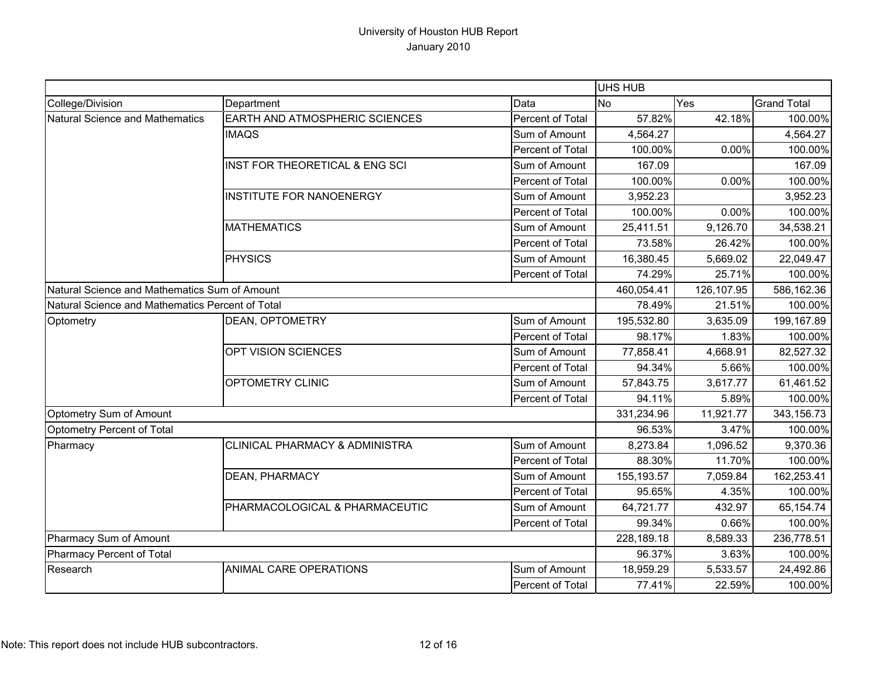|                                                  |                                           |                  | UHS HUB    |            |                    |
|--------------------------------------------------|-------------------------------------------|------------------|------------|------------|--------------------|
| College/Division                                 | Department                                | Data             | <b>No</b>  | Yes        | <b>Grand Total</b> |
| Natural Science and Mathematics                  | <b>EARTH AND ATMOSPHERIC SCIENCES</b>     | Percent of Total | 57.82%     | 42.18%     | 100.00%            |
|                                                  | <b>IMAQS</b>                              | Sum of Amount    | 4,564.27   |            | 4,564.27           |
|                                                  |                                           | Percent of Total | 100.00%    | 0.00%      | 100.00%            |
|                                                  | INST FOR THEORETICAL & ENG SCI            | Sum of Amount    | 167.09     |            | 167.09             |
|                                                  |                                           | Percent of Total | 100.00%    | 0.00%      | 100.00%            |
|                                                  | <b>INSTITUTE FOR NANOENERGY</b>           | Sum of Amount    | 3,952.23   |            | 3,952.23           |
|                                                  |                                           | Percent of Total | 100.00%    | 0.00%      | 100.00%            |
|                                                  | <b>MATHEMATICS</b>                        | Sum of Amount    | 25,411.51  | 9,126.70   | 34,538.21          |
|                                                  |                                           | Percent of Total | 73.58%     | 26.42%     | 100.00%            |
|                                                  | <b>PHYSICS</b>                            | Sum of Amount    | 16,380.45  | 5,669.02   | 22,049.47          |
|                                                  |                                           | Percent of Total | 74.29%     | 25.71%     | 100.00%            |
| Natural Science and Mathematics Sum of Amount    |                                           |                  | 460,054.41 | 126,107.95 | 586,162.36         |
| Natural Science and Mathematics Percent of Total |                                           |                  | 78.49%     | 21.51%     | 100.00%            |
| Optometry                                        | DEAN, OPTOMETRY                           | Sum of Amount    | 195,532.80 | 3,635.09   | 199,167.89         |
|                                                  |                                           | Percent of Total | 98.17%     | 1.83%      | 100.00%            |
|                                                  | <b>OPT VISION SCIENCES</b>                | Sum of Amount    | 77,858.41  | 4,668.91   | 82,527.32          |
|                                                  |                                           | Percent of Total | 94.34%     | 5.66%      | 100.00%            |
|                                                  | <b>OPTOMETRY CLINIC</b>                   | Sum of Amount    | 57,843.75  | 3,617.77   | 61,461.52          |
|                                                  |                                           | Percent of Total | 94.11%     | 5.89%      | 100.00%            |
| Optometry Sum of Amount                          |                                           |                  | 331,234.96 | 11,921.77  | 343,156.73         |
| Optometry Percent of Total                       |                                           |                  | 96.53%     | 3.47%      | 100.00%            |
| Pharmacy                                         | <b>CLINICAL PHARMACY &amp; ADMINISTRA</b> | Sum of Amount    | 8,273.84   | 1,096.52   | 9,370.36           |
|                                                  |                                           | Percent of Total | 88.30%     | 11.70%     | 100.00%            |
|                                                  | <b>DEAN, PHARMACY</b>                     | Sum of Amount    | 155,193.57 | 7,059.84   | 162,253.41         |
|                                                  |                                           | Percent of Total | 95.65%     | 4.35%      | 100.00%            |
|                                                  | PHARMACOLOGICAL & PHARMACEUTIC            | Sum of Amount    | 64,721.77  | 432.97     | 65,154.74          |
|                                                  |                                           | Percent of Total | 99.34%     | 0.66%      | 100.00%            |
| Pharmacy Sum of Amount                           |                                           | 228,189.18       | 8,589.33   | 236,778.51 |                    |
| Pharmacy Percent of Total                        |                                           |                  | 96.37%     | 3.63%      | 100.00%            |
| Research                                         | <b>ANIMAL CARE OPERATIONS</b>             | Sum of Amount    | 18,959.29  | 5,533.57   | 24,492.86          |
|                                                  |                                           | Percent of Total | 77.41%     | 22.59%     | 100.00%            |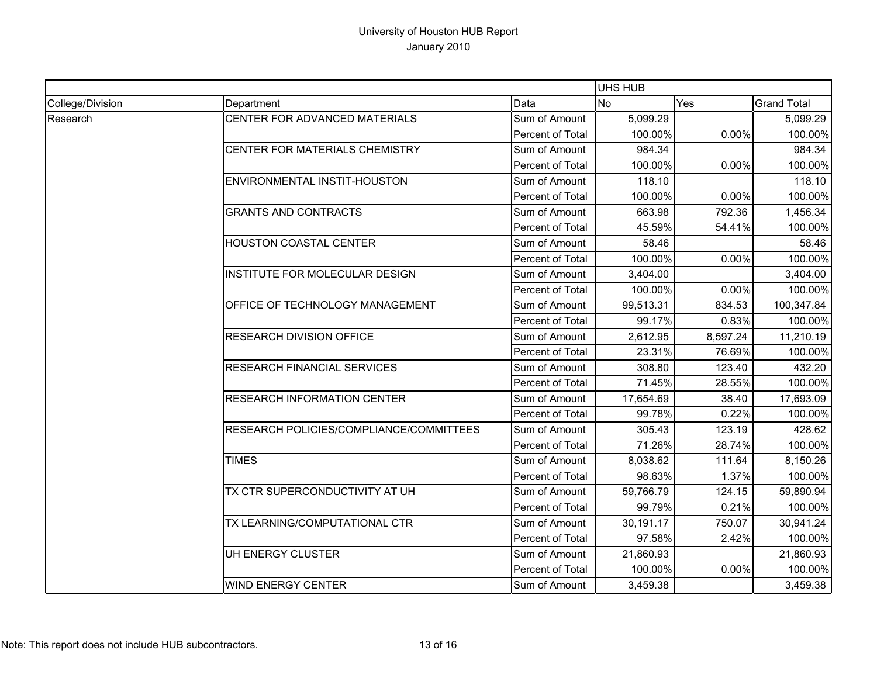|                  |                                         |                  |           | <b>UHS HUB</b> |                    |  |
|------------------|-----------------------------------------|------------------|-----------|----------------|--------------------|--|
| College/Division | Department                              | Data             | <b>No</b> | Yes            | <b>Grand Total</b> |  |
| Research         | CENTER FOR ADVANCED MATERIALS           | Sum of Amount    | 5,099.29  |                | 5,099.29           |  |
|                  |                                         | Percent of Total | 100.00%   | 0.00%          | 100.00%            |  |
|                  | CENTER FOR MATERIALS CHEMISTRY          | Sum of Amount    | 984.34    |                | 984.34             |  |
|                  |                                         | Percent of Total | 100.00%   | 0.00%          | 100.00%            |  |
|                  | ENVIRONMENTAL INSTIT-HOUSTON            | Sum of Amount    | 118.10    |                | 118.10             |  |
|                  |                                         | Percent of Total | 100.00%   | 0.00%          | 100.00%            |  |
|                  | <b>GRANTS AND CONTRACTS</b>             | Sum of Amount    | 663.98    | 792.36         | 1,456.34           |  |
|                  |                                         | Percent of Total | 45.59%    | 54.41%         | 100.00%            |  |
|                  | <b>HOUSTON COASTAL CENTER</b>           | Sum of Amount    | 58.46     |                | 58.46              |  |
|                  |                                         | Percent of Total | 100.00%   | 0.00%          | 100.00%            |  |
|                  | INSTITUTE FOR MOLECULAR DESIGN          | Sum of Amount    | 3,404.00  |                | 3,404.00           |  |
|                  |                                         | Percent of Total | 100.00%   | 0.00%          | 100.00%            |  |
|                  | OFFICE OF TECHNOLOGY MANAGEMENT         | Sum of Amount    | 99,513.31 | 834.53         | 100,347.84         |  |
|                  |                                         | Percent of Total | 99.17%    | 0.83%          | 100.00%            |  |
|                  | <b>RESEARCH DIVISION OFFICE</b>         | Sum of Amount    | 2,612.95  | 8,597.24       | 11,210.19          |  |
|                  |                                         | Percent of Total | 23.31%    | 76.69%         | 100.00%            |  |
|                  | <b>RESEARCH FINANCIAL SERVICES</b>      | Sum of Amount    | 308.80    | 123.40         | 432.20             |  |
|                  |                                         | Percent of Total | 71.45%    | 28.55%         | 100.00%            |  |
|                  | <b>RESEARCH INFORMATION CENTER</b>      | Sum of Amount    | 17,654.69 | 38.40          | 17,693.09          |  |
|                  |                                         | Percent of Total | 99.78%    | 0.22%          | 100.00%            |  |
|                  | RESEARCH POLICIES/COMPLIANCE/COMMITTEES | Sum of Amount    | 305.43    | 123.19         | 428.62             |  |
|                  |                                         | Percent of Total | 71.26%    | 28.74%         | 100.00%            |  |
|                  | <b>TIMES</b>                            | Sum of Amount    | 8,038.62  | 111.64         | 8,150.26           |  |
|                  |                                         | Percent of Total | 98.63%    | 1.37%          | 100.00%            |  |
|                  | TX CTR SUPERCONDUCTIVITY AT UH          | Sum of Amount    | 59,766.79 | 124.15         | 59,890.94          |  |
|                  |                                         | Percent of Total | 99.79%    | 0.21%          | 100.00%            |  |
|                  | TX LEARNING/COMPUTATIONAL CTR           | Sum of Amount    | 30,191.17 | 750.07         | 30,941.24          |  |
|                  |                                         | Percent of Total | 97.58%    | 2.42%          | 100.00%            |  |
|                  | UH ENERGY CLUSTER                       | Sum of Amount    | 21,860.93 |                | 21,860.93          |  |
|                  |                                         | Percent of Total | 100.00%   | 0.00%          | 100.00%            |  |
|                  | <b>WIND ENERGY CENTER</b>               | Sum of Amount    | 3,459.38  |                | 3,459.38           |  |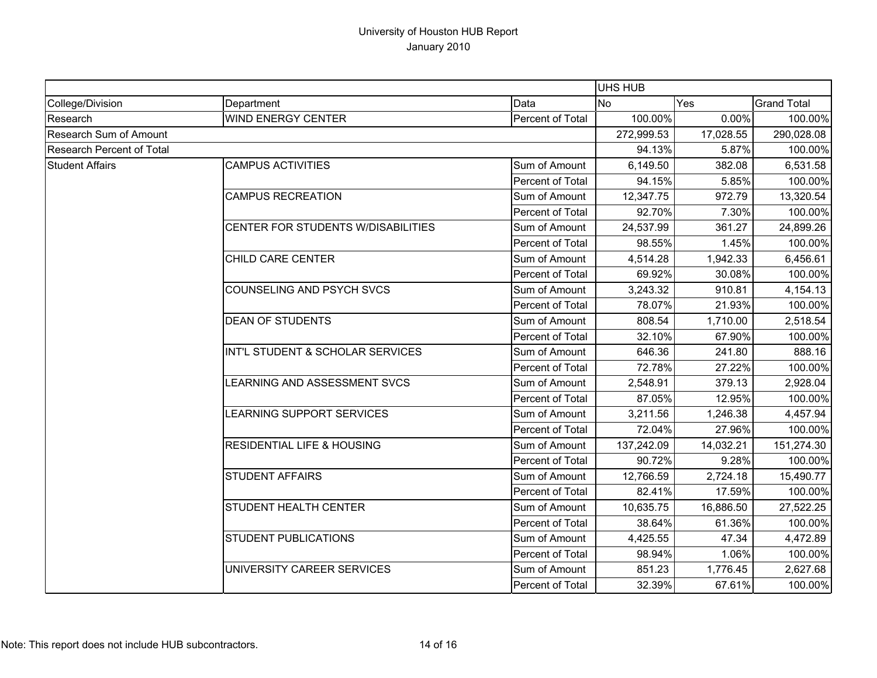|                                  |                                       |                  |            | <b>UHS HUB</b> |                    |  |
|----------------------------------|---------------------------------------|------------------|------------|----------------|--------------------|--|
| College/Division                 | Department                            | Data             | <b>No</b>  | Yes            | <b>Grand Total</b> |  |
| Research                         | <b>WIND ENERGY CENTER</b>             | Percent of Total | 100.00%    | 0.00%          | 100.00%            |  |
| <b>Research Sum of Amount</b>    |                                       |                  | 272,999.53 | 17,028.55      | 290,028.08         |  |
| <b>Research Percent of Total</b> |                                       |                  | 94.13%     | 5.87%          | 100.00%            |  |
| <b>Student Affairs</b>           | <b>CAMPUS ACTIVITIES</b>              | Sum of Amount    | 6,149.50   | 382.08         | 6,531.58           |  |
|                                  |                                       | Percent of Total | 94.15%     | 5.85%          | 100.00%            |  |
|                                  | <b>CAMPUS RECREATION</b>              | Sum of Amount    | 12,347.75  | 972.79         | 13,320.54          |  |
|                                  |                                       | Percent of Total | 92.70%     | 7.30%          | 100.00%            |  |
|                                  | CENTER FOR STUDENTS W/DISABILITIES    | Sum of Amount    | 24,537.99  | 361.27         | 24,899.26          |  |
|                                  |                                       | Percent of Total | 98.55%     | 1.45%          | 100.00%            |  |
|                                  | CHILD CARE CENTER                     | Sum of Amount    | 4,514.28   | 1,942.33       | 6,456.61           |  |
|                                  |                                       | Percent of Total | 69.92%     | 30.08%         | 100.00%            |  |
|                                  | COUNSELING AND PSYCH SVCS             | Sum of Amount    | 3,243.32   | 910.81         | 4,154.13           |  |
|                                  |                                       | Percent of Total | 78.07%     | 21.93%         | 100.00%            |  |
|                                  | <b>DEAN OF STUDENTS</b>               | Sum of Amount    | 808.54     | 1,710.00       | 2,518.54           |  |
|                                  |                                       | Percent of Total | 32.10%     | 67.90%         | 100.00%            |  |
|                                  | INT'L STUDENT & SCHOLAR SERVICES      | Sum of Amount    | 646.36     | 241.80         | 888.16             |  |
|                                  |                                       | Percent of Total | 72.78%     | 27.22%         | 100.00%            |  |
|                                  | LEARNING AND ASSESSMENT SVCS          | Sum of Amount    | 2,548.91   | 379.13         | 2,928.04           |  |
|                                  |                                       | Percent of Total | 87.05%     | 12.95%         | 100.00%            |  |
|                                  | LEARNING SUPPORT SERVICES             | Sum of Amount    | 3,211.56   | 1,246.38       | 4,457.94           |  |
|                                  |                                       | Percent of Total | 72.04%     | 27.96%         | 100.00%            |  |
|                                  | <b>RESIDENTIAL LIFE &amp; HOUSING</b> | Sum of Amount    | 137,242.09 | 14,032.21      | 151,274.30         |  |
|                                  |                                       | Percent of Total | 90.72%     | 9.28%          | 100.00%            |  |
|                                  | <b>STUDENT AFFAIRS</b>                | Sum of Amount    | 12,766.59  | 2,724.18       | 15,490.77          |  |
|                                  |                                       | Percent of Total | 82.41%     | 17.59%         | 100.00%            |  |
|                                  | <b>STUDENT HEALTH CENTER</b>          | Sum of Amount    | 10,635.75  | 16,886.50      | 27,522.25          |  |
|                                  |                                       | Percent of Total | 38.64%     | 61.36%         | 100.00%            |  |
|                                  | <b>STUDENT PUBLICATIONS</b>           | Sum of Amount    | 4,425.55   | 47.34          | 4,472.89           |  |
|                                  |                                       | Percent of Total | 98.94%     | 1.06%          | 100.00%            |  |
|                                  | UNIVERSITY CAREER SERVICES            | Sum of Amount    | 851.23     | 1,776.45       | 2,627.68           |  |
|                                  |                                       | Percent of Total | 32.39%     | 67.61%         | 100.00%            |  |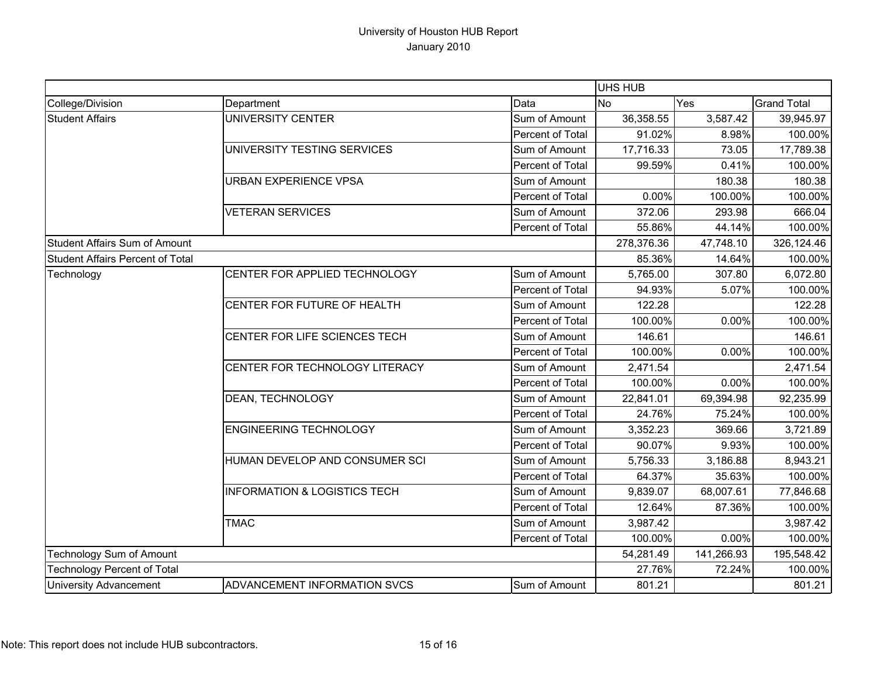|                                         |                                         |                  |            | <b>UHS HUB</b> |                    |  |
|-----------------------------------------|-----------------------------------------|------------------|------------|----------------|--------------------|--|
| College/Division                        | Department                              | Data             | <b>No</b>  | Yes            | <b>Grand Total</b> |  |
| <b>Student Affairs</b>                  | UNIVERSITY CENTER                       | Sum of Amount    | 36,358.55  | 3,587.42       | 39,945.97          |  |
|                                         |                                         | Percent of Total | 91.02%     | 8.98%          | 100.00%            |  |
|                                         | UNIVERSITY TESTING SERVICES             | Sum of Amount    | 17,716.33  | 73.05          | 17,789.38          |  |
|                                         |                                         | Percent of Total | 99.59%     | 0.41%          | 100.00%            |  |
|                                         | URBAN EXPERIENCE VPSA                   | Sum of Amount    |            | 180.38         | 180.38             |  |
|                                         |                                         | Percent of Total | 0.00%      | 100.00%        | 100.00%            |  |
|                                         | <b>VETERAN SERVICES</b>                 | Sum of Amount    | 372.06     | 293.98         | 666.04             |  |
|                                         |                                         | Percent of Total | 55.86%     | 44.14%         | 100.00%            |  |
| <b>Student Affairs Sum of Amount</b>    |                                         |                  | 278,376.36 | 47,748.10      | 326,124.46         |  |
| <b>Student Affairs Percent of Total</b> |                                         |                  | 85.36%     | 14.64%         | 100.00%            |  |
| Technology                              | CENTER FOR APPLIED TECHNOLOGY           | Sum of Amount    | 5,765.00   | 307.80         | 6,072.80           |  |
|                                         |                                         | Percent of Total | 94.93%     | 5.07%          | 100.00%            |  |
|                                         | CENTER FOR FUTURE OF HEALTH             | Sum of Amount    | 122.28     |                | 122.28             |  |
|                                         |                                         | Percent of Total | 100.00%    | 0.00%          | 100.00%            |  |
|                                         | CENTER FOR LIFE SCIENCES TECH           | Sum of Amount    | 146.61     |                | 146.61             |  |
|                                         |                                         | Percent of Total | 100.00%    | 0.00%          | 100.00%            |  |
|                                         | CENTER FOR TECHNOLOGY LITERACY          | Sum of Amount    | 2,471.54   |                | 2,471.54           |  |
|                                         |                                         | Percent of Total | 100.00%    | 0.00%          | 100.00%            |  |
|                                         | DEAN, TECHNOLOGY                        | Sum of Amount    | 22,841.01  | 69,394.98      | 92,235.99          |  |
|                                         |                                         | Percent of Total | 24.76%     | 75.24%         | 100.00%            |  |
|                                         | <b>ENGINEERING TECHNOLOGY</b>           | Sum of Amount    | 3,352.23   | 369.66         | 3,721.89           |  |
|                                         |                                         | Percent of Total | 90.07%     | 9.93%          | 100.00%            |  |
|                                         | HUMAN DEVELOP AND CONSUMER SCI          | Sum of Amount    | 5,756.33   | 3,186.88       | 8,943.21           |  |
|                                         |                                         | Percent of Total | 64.37%     | 35.63%         | 100.00%            |  |
|                                         | <b>INFORMATION &amp; LOGISTICS TECH</b> | Sum of Amount    | 9,839.07   | 68,007.61      | 77,846.68          |  |
|                                         |                                         | Percent of Total | 12.64%     | 87.36%         | 100.00%            |  |
|                                         | <b>TMAC</b>                             | Sum of Amount    | 3,987.42   |                | 3,987.42           |  |
|                                         |                                         | Percent of Total | 100.00%    | 0.00%          | 100.00%            |  |
| <b>Technology Sum of Amount</b>         |                                         |                  | 54,281.49  | 141,266.93     | 195,548.42         |  |
| <b>Technology Percent of Total</b>      |                                         |                  | 27.76%     | 72.24%         | 100.00%            |  |
| <b>University Advancement</b>           | ADVANCEMENT INFORMATION SVCS            | Sum of Amount    | 801.21     |                | 801.21             |  |